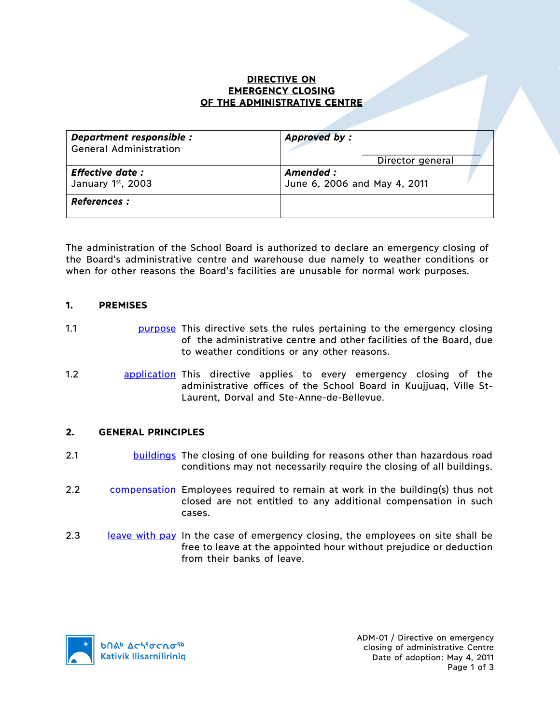### **DIRECTIVE ON EMERGENCY CLOSING OF THE ADMINISTRATIVE CENTRE**

| Department responsible :      | <b>Approved by:</b>          |
|-------------------------------|------------------------------|
| <b>General Administration</b> | Director general             |
| <b>Effective date:</b>        | Amended :                    |
| January 1st, 2003             | June 6, 2006 and May 4, 2011 |
| <b>References :</b>           |                              |

The administration of the School Board is authorized to declare an emergency closing of the Board's administrative centre and warehouse due namely to weather conditions or when for other reasons the Board's facilities are unusable for normal work purposes.

### **1. PREMISES**

- 1.1 **purpose** This directive sets the rules pertaining to the emergency closing of the administrative centre and other facilities of the Board, due to weather conditions or any other reasons.
- 1.2 **application** This directive applies to every emergency closing of the administrative offices of the School Board in Kuujjuaq, Ville St-Laurent, Dorval and Ste-Anne-de-Bellevue.

### **2. GENERAL PRINCIPLES**

- 2.1 buildings The closing of one building for reasons other than hazardous road conditions may not necessarily require the closing of all buildings.
- 2.2 compensation Employees required to remain at work in the building(s) thus not closed are not entitled to any additional compensation in such cases.
- 2.3 leave with pay In the case of emergency closing, the employees on site shall be free to leave at the appointed hour without prejudice or deduction from their banks of leave.

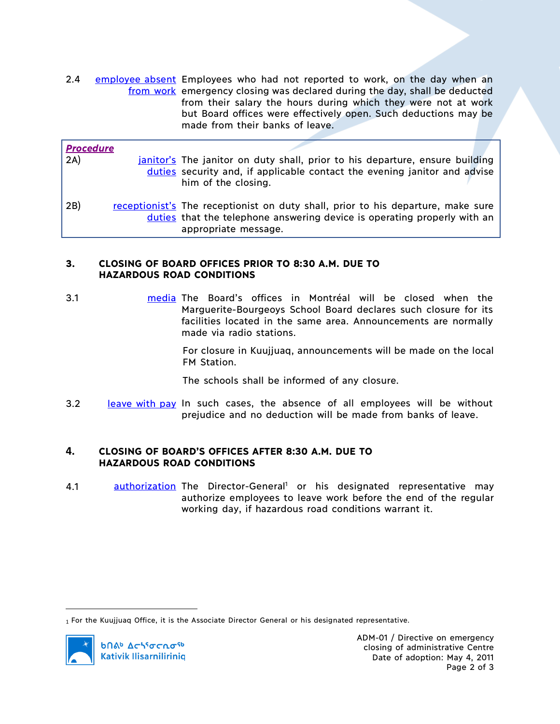2.4 employee absent Employees who had not reported to work, on the day when an from work emergency closing was declared during the day, shall be deducted from their salary the hours during which they were not at work but Board offices were effectively open. Such deductions may be made from their banks of leave.

| <b>Procedure</b> |                                                                                                                                                                                      |
|------------------|--------------------------------------------------------------------------------------------------------------------------------------------------------------------------------------|
| 2A)              | janitor's The janitor on duty shall, prior to his departure, ensure building                                                                                                         |
|                  | duties security and, if applicable contact the evening janitor and advise<br>him of the closing.                                                                                     |
| 2B)              | receptionist's The receptionist on duty shall, prior to his departure, make sure<br>duties that the telephone answering device is operating properly with an<br>appropriate message. |

# **3. CLOSING OF BOARD OFFICES PRIOR TO 8:30 A.M. DUE TO HAZARDOUS ROAD CONDITIONS**

3.1 media The Board's offices in Montréal will be closed when the Marguerite-Bourgeoys School Board declares such closure for its facilities located in the same area. Announcements are normally made via radio stations.

> For closure in Kuujjuaq, announcements will be made on the local FM Station.

The schools shall be informed of any closure.

3.2 leave with pay In such cases, the absence of all employees will be without prejudice and no deduction will be made from banks of leave.

## **4. CLOSING OF BOARD'S OFFICES AFTER 8:30 A.M. DUE TO HAZARDOUS ROAD CONDITIONS**

4.1 **authorization** The Director-General<sup>1</sup> or his designated representative may authorize employees to leave work before the end of the regular working day, if hazardous road conditions warrant it.

 $\overline{a}$ 

<sup>1</sup> For the Kuujjuaq Office, it is the Associate Director General or his designated representative.